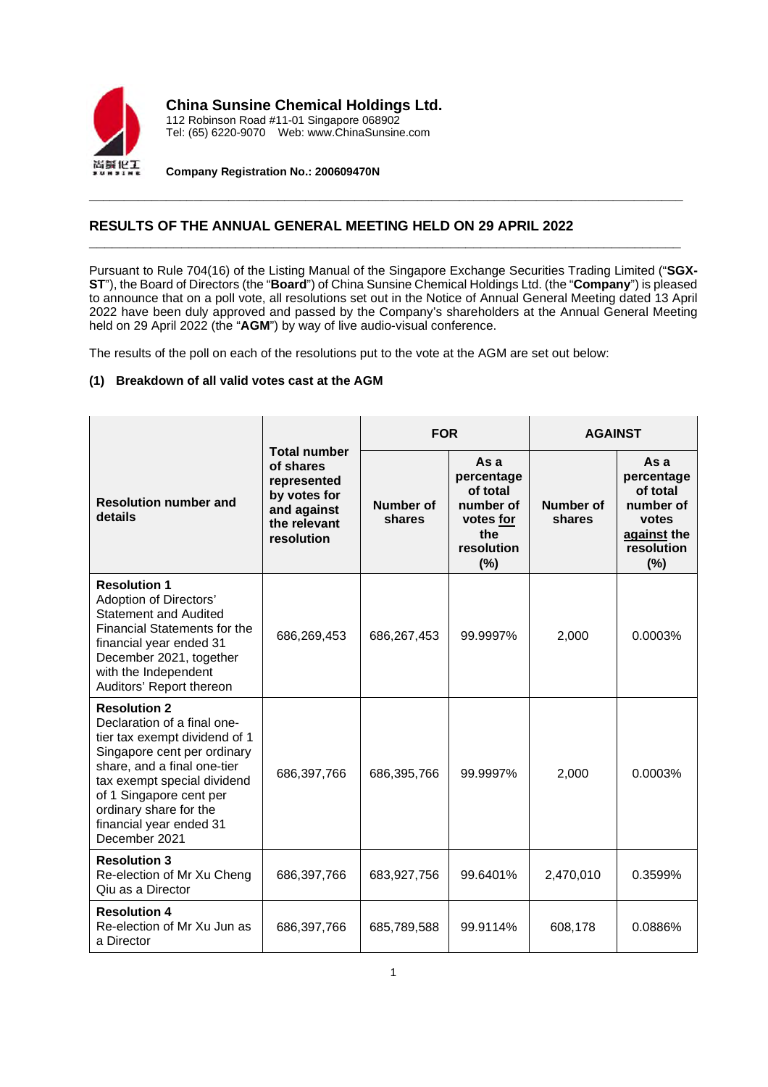

**China Sunsine Chemical Holdings Ltd.**

112 Robinson Road #11-01 Singapore 068902 Tel: (65) 6220-9070 Web: www.ChinaSunsine.com

**Company Registration No.: 200609470N**

# **RESULTS OF THE ANNUAL GENERAL MEETING HELD ON 29 APRIL 2022**

Pursuant to Rule 704(16) of the Listing Manual of the Singapore Exchange Securities Trading Limited ("**SGX-ST**"), the Board of Directors (the "**Board**") of China Sunsine Chemical Holdings Ltd. (the "**Company**") is pleased to announce that on a poll vote, all resolutions set out in the Notice of Annual General Meeting dated 13 April 2022 have been duly approved and passed by the Company's shareholders at the Annual General Meeting held on 29 April 2022 (the "**AGM**") by way of live audio-visual conference.

**\_\_\_\_\_\_\_\_\_\_\_\_\_\_\_\_\_\_\_\_\_\_\_\_\_\_\_\_\_\_\_\_\_\_\_\_\_\_\_\_\_\_\_\_\_\_\_\_\_\_\_\_\_\_\_\_\_\_\_\_\_\_\_\_\_\_\_\_\_\_\_\_\_\_\_\_\_\_\_\_\_\_\_\_\_**

**\_\_\_\_\_\_\_\_\_\_\_\_\_\_\_\_\_\_\_\_\_\_\_\_\_\_\_\_\_\_\_\_\_\_\_\_\_\_\_\_\_\_\_\_\_\_\_\_\_\_\_\_\_\_\_\_\_\_\_\_\_\_\_\_\_\_\_\_\_\_\_\_\_\_\_\_\_**

The results of the poll on each of the resolutions put to the vote at the AGM are set out below:

## **(1) Breakdown of all valid votes cast at the AGM**

|                                                                                                                                                                                                                                                                                   | <b>Total number</b><br>of shares<br>represented<br>by votes for<br>and against<br>the relevant<br>resolution | <b>FOR</b>                 |                                                                                      | <b>AGAINST</b>             |                                                                                          |
|-----------------------------------------------------------------------------------------------------------------------------------------------------------------------------------------------------------------------------------------------------------------------------------|--------------------------------------------------------------------------------------------------------------|----------------------------|--------------------------------------------------------------------------------------|----------------------------|------------------------------------------------------------------------------------------|
| <b>Resolution number and</b><br>details                                                                                                                                                                                                                                           |                                                                                                              | <b>Number of</b><br>shares | As a<br>percentage<br>of total<br>number of<br>votes for<br>the<br>resolution<br>(%) | <b>Number of</b><br>shares | As a<br>percentage<br>of total<br>number of<br>votes<br>against the<br>resolution<br>(%) |
| <b>Resolution 1</b><br>Adoption of Directors'<br><b>Statement and Audited</b><br><b>Financial Statements for the</b><br>financial year ended 31<br>December 2021, together<br>with the Independent<br>Auditors' Report thereon                                                    | 686,269,453                                                                                                  | 686,267,453                | 99.9997%                                                                             | 2,000                      | 0.0003%                                                                                  |
| <b>Resolution 2</b><br>Declaration of a final one-<br>tier tax exempt dividend of 1<br>Singapore cent per ordinary<br>share, and a final one-tier<br>tax exempt special dividend<br>of 1 Singapore cent per<br>ordinary share for the<br>financial year ended 31<br>December 2021 | 686,397,766                                                                                                  | 686,395,766                | 99.9997%                                                                             | 2,000                      | 0.0003%                                                                                  |
| <b>Resolution 3</b><br>Re-election of Mr Xu Cheng<br>Qiu as a Director                                                                                                                                                                                                            | 686,397,766                                                                                                  | 683,927,756                | 99.6401%                                                                             | 2,470,010                  | 0.3599%                                                                                  |
| <b>Resolution 4</b><br>Re-election of Mr Xu Jun as<br>a Director                                                                                                                                                                                                                  | 686,397,766                                                                                                  | 685,789,588                | 99.9114%                                                                             | 608,178                    | 0.0886%                                                                                  |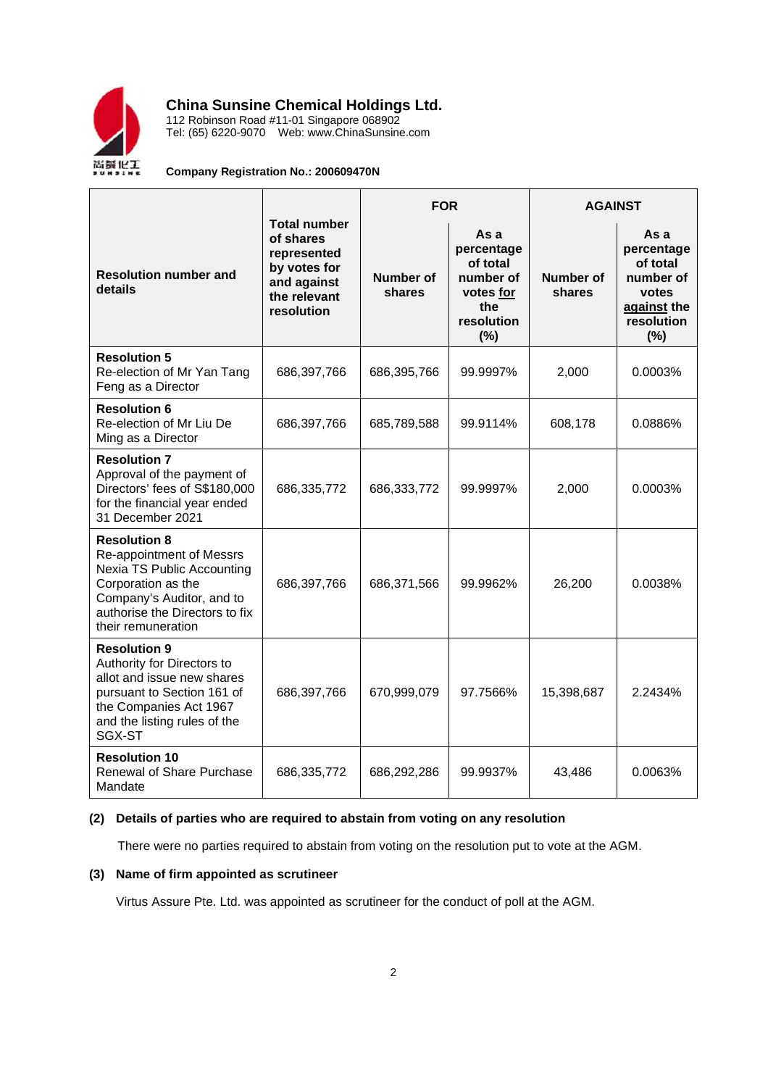

**China Sunsine Chemical Holdings Ltd.**

112 Robinson Road #11-01 Singapore 068902 Tel: (65) 6220-9070 Web: www.ChinaSunsine.com

## **Company Registration No.: 200609470N**

|                                                                                                                                                                                          |                                                                                                              | <b>FOR</b>          |                                                                                      | <b>AGAINST</b>      |                                                                                          |
|------------------------------------------------------------------------------------------------------------------------------------------------------------------------------------------|--------------------------------------------------------------------------------------------------------------|---------------------|--------------------------------------------------------------------------------------|---------------------|------------------------------------------------------------------------------------------|
| <b>Resolution number and</b><br>details                                                                                                                                                  | <b>Total number</b><br>of shares<br>represented<br>by votes for<br>and against<br>the relevant<br>resolution | Number of<br>shares | As a<br>percentage<br>of total<br>number of<br>votes for<br>the<br>resolution<br>(%) | Number of<br>shares | As a<br>percentage<br>of total<br>number of<br>votes<br>against the<br>resolution<br>(%) |
| <b>Resolution 5</b><br>Re-election of Mr Yan Tang<br>Feng as a Director                                                                                                                  | 686,397,766                                                                                                  | 686,395,766         | 99.9997%                                                                             | 2,000               | 0.0003%                                                                                  |
| <b>Resolution 6</b><br>Re-election of Mr Liu De<br>Ming as a Director                                                                                                                    | 686,397,766                                                                                                  | 685,789,588         | 99.9114%                                                                             | 608,178             | 0.0886%                                                                                  |
| <b>Resolution 7</b><br>Approval of the payment of<br>Directors' fees of S\$180,000<br>for the financial year ended<br>31 December 2021                                                   | 686,335,772                                                                                                  | 686,333,772         | 99.9997%                                                                             | 2,000               | 0.0003%                                                                                  |
| <b>Resolution 8</b><br>Re-appointment of Messrs<br>Nexia TS Public Accounting<br>Corporation as the<br>Company's Auditor, and to<br>authorise the Directors to fix<br>their remuneration | 686,397,766                                                                                                  | 686,371,566         | 99.9962%                                                                             | 26,200              | 0.0038%                                                                                  |
| <b>Resolution 9</b><br>Authority for Directors to<br>allot and issue new shares<br>pursuant to Section 161 of<br>the Companies Act 1967<br>and the listing rules of the<br>SGX-ST        | 686,397,766                                                                                                  | 670,999,079         | 97.7566%                                                                             | 15,398,687          | 2.2434%                                                                                  |
| <b>Resolution 10</b><br>Renewal of Share Purchase<br>Mandate                                                                                                                             | 686,335,772                                                                                                  | 686,292,286         | 99.9937%                                                                             | 43,486              | 0.0063%                                                                                  |

## **(2) Details of parties who are required to abstain from voting on any resolution**

There were no parties required to abstain from voting on the resolution put to vote at the AGM.

## **(3) Name of firm appointed as scrutineer**

Virtus Assure Pte. Ltd. was appointed as scrutineer for the conduct of poll at the AGM.